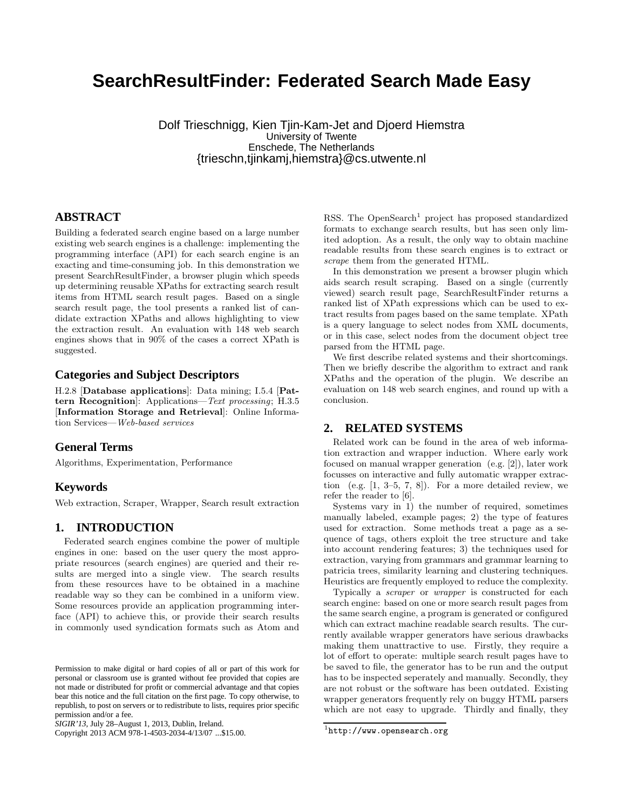# **SearchResultFinder: Federated Search Made Easy**

Dolf Trieschnigg, Kien Tjin-Kam-Jet and Djoerd Hiemstra University of Twente Enschede, The Netherlands {trieschn,tjinkamj,hiemstra}@cs.utwente.nl

## **ABSTRACT**

Building a federated search engine based on a large number existing web search engines is a challenge: implementing the programming interface (API) for each search engine is an exacting and time-consuming job. In this demonstration we present SearchResultFinder, a browser plugin which speeds up determining reusable XPaths for extracting search result items from HTML search result pages. Based on a single search result page, the tool presents a ranked list of candidate extraction XPaths and allows highlighting to view the extraction result. An evaluation with 148 web search engines shows that in 90% of the cases a correct XPath is suggested.

#### **Categories and Subject Descriptors**

H.2.8 [Database applications]: Data mining; I.5.4 [Pattern Recognition]: Applications—Text processing; H.3.5 [Information Storage and Retrieval]: Online Information Services—Web-based services

## **General Terms**

Algorithms, Experimentation, Performance

## **Keywords**

Web extraction, Scraper, Wrapper, Search result extraction

#### **1. INTRODUCTION**

Federated search engines combine the power of multiple engines in one: based on the user query the most appropriate resources (search engines) are queried and their results are merged into a single view. The search results from these resources have to be obtained in a machine readable way so they can be combined in a uniform view. Some resources provide an application programming interface (API) to achieve this, or provide their search results in commonly used syndication formats such as Atom and

Copyright 2013 ACM 978-1-4503-2034-4/13/07 ...\$15.00.

RSS. The OpenSearch<sup>1</sup> project has proposed standardized formats to exchange search results, but has seen only limited adoption. As a result, the only way to obtain machine readable results from these search engines is to extract or scrape them from the generated HTML.

In this demonstration we present a browser plugin which aids search result scraping. Based on a single (currently viewed) search result page, SearchResultFinder returns a ranked list of XPath expressions which can be used to extract results from pages based on the same template. XPath is a query language to select nodes from XML documents, or in this case, select nodes from the document object tree parsed from the HTML page.

We first describe related systems and their shortcomings. Then we briefly describe the algorithm to extract and rank XPaths and the operation of the plugin. We describe an evaluation on 148 web search engines, and round up with a conclusion.

## **2. RELATED SYSTEMS**

Related work can be found in the area of web information extraction and wrapper induction. Where early work focused on manual wrapper generation (e.g. [2]), later work focusses on interactive and fully automatic wrapper extraction (e.g. [1, 3–5, 7, 8]). For a more detailed review, we refer the reader to [6].

Systems vary in 1) the number of required, sometimes manually labeled, example pages; 2) the type of features used for extraction. Some methods treat a page as a sequence of tags, others exploit the tree structure and take into account rendering features; 3) the techniques used for extraction, varying from grammars and grammar learning to patricia trees, similarity learning and clustering techniques. Heuristics are frequently employed to reduce the complexity.

Typically a scraper or wrapper is constructed for each search engine: based on one or more search result pages from the same search engine, a program is generated or configured which can extract machine readable search results. The currently available wrapper generators have serious drawbacks making them unattractive to use. Firstly, they require a lot of effort to operate: multiple search result pages have to be saved to file, the generator has to be run and the output has to be inspected seperately and manually. Secondly, they are not robust or the software has been outdated. Existing wrapper generators frequently rely on buggy HTML parsers which are not easy to upgrade. Thirdly and finally, they

Permission to make digital or hard copies of all or part of this work for personal or classroom use is granted without fee provided that copies are not made or distributed for profit or commercial advantage and that copies bear this notice and the full citation on the first page. To copy otherwise, to republish, to post on servers or to redistribute to lists, requires prior specific permission and/or a fee.

*SIGIR'13,* July 28–August 1, 2013, Dublin, Ireland.

 $1$ http://www.opensearch.org